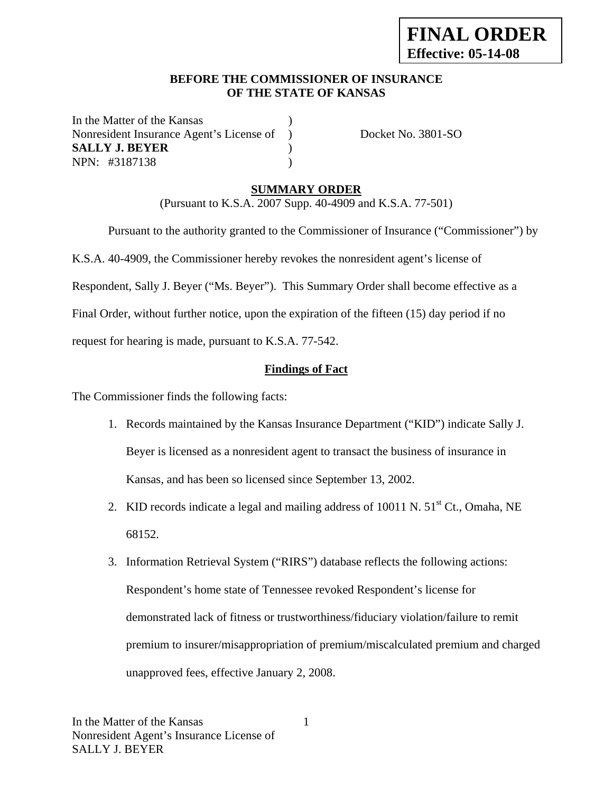#### **BEFORE THE COMMISSIONER OF INSURANCE OF THE STATE OF KANSAS**

In the Matter of the Kansas Nonresident Insurance Agent's License of ) Docket No. 3801-SO **SALLY J. BEYER** ) NPN: #3187138 )

## **SUMMARY ORDER**

(Pursuant to K.S.A. 2007 Supp. 40-4909 and K.S.A. 77-501)

 Pursuant to the authority granted to the Commissioner of Insurance ("Commissioner") by K.S.A. 40-4909, the Commissioner hereby revokes the nonresident agent's license of Respondent, Sally J. Beyer ("Ms. Beyer"). This Summary Order shall become effective as a Final Order, without further notice, upon the expiration of the fifteen (15) day period if no request for hearing is made, pursuant to K.S.A. 77-542.

#### **Findings of Fact**

The Commissioner finds the following facts:

- 1. Records maintained by the Kansas Insurance Department ("KID") indicate Sally J. Beyer is licensed as a nonresident agent to transact the business of insurance in Kansas, and has been so licensed since September 13, 2002.
- 2. KID records indicate a legal and mailing address of 10011 N.  $51<sup>st</sup>$  Ct., Omaha, NE 68152.
- 3. Information Retrieval System ("RIRS") database reflects the following actions: Respondent's home state of Tennessee revoked Respondent's license for demonstrated lack of fitness or trustworthiness/fiduciary violation/failure to remit premium to insurer/misappropriation of premium/miscalculated premium and charged unapproved fees, effective January 2, 2008.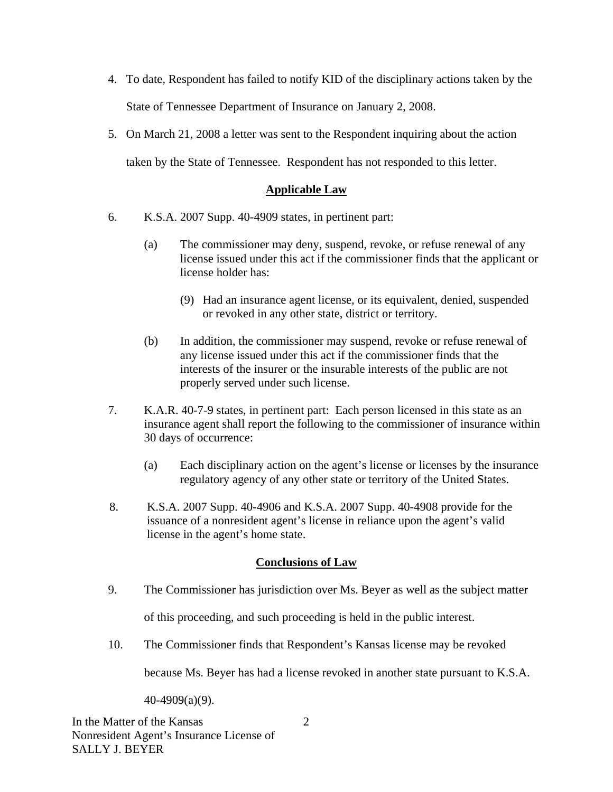- 4. To date, Respondent has failed to notify KID of the disciplinary actions taken by the State of Tennessee Department of Insurance on January 2, 2008.
- 5. On March 21, 2008 a letter was sent to the Respondent inquiring about the action taken by the State of Tennessee. Respondent has not responded to this letter.

## **Applicable Law**

- 6. K.S.A. 2007 Supp. 40-4909 states, in pertinent part:
	- (a) The commissioner may deny, suspend, revoke, or refuse renewal of any license issued under this act if the commissioner finds that the applicant or license holder has:
		- (9) Had an insurance agent license, or its equivalent, denied, suspended or revoked in any other state, district or territory.
	- (b) In addition, the commissioner may suspend, revoke or refuse renewal of any license issued under this act if the commissioner finds that the interests of the insurer or the insurable interests of the public are not properly served under such license.
- 7. K.A.R. 40-7-9 states, in pertinent part: Each person licensed in this state as an insurance agent shall report the following to the commissioner of insurance within 30 days of occurrence:
	- (a) Each disciplinary action on the agent's license or licenses by the insurance regulatory agency of any other state or territory of the United States.
- 8. K.S.A. 2007 Supp. 40-4906 and K.S.A. 2007 Supp. 40-4908 provide for the issuance of a nonresident agent's license in reliance upon the agent's valid license in the agent's home state.

#### **Conclusions of Law**

9. The Commissioner has jurisdiction over Ms. Beyer as well as the subject matter

of this proceeding, and such proceeding is held in the public interest.

10. The Commissioner finds that Respondent's Kansas license may be revoked

because Ms. Beyer has had a license revoked in another state pursuant to K.S.A.

40-4909(a)(9).

2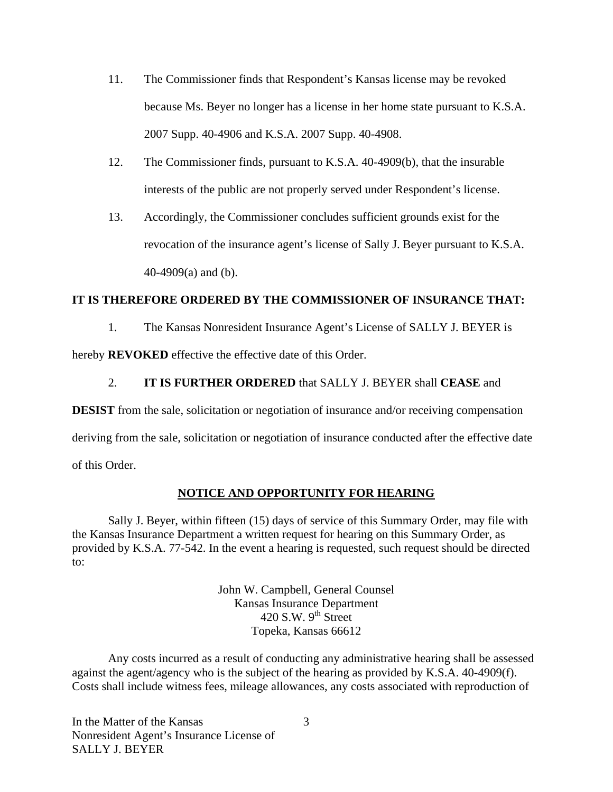- 11. The Commissioner finds that Respondent's Kansas license may be revoked because Ms. Beyer no longer has a license in her home state pursuant to K.S.A. 2007 Supp. 40-4906 and K.S.A. 2007 Supp. 40-4908.
- 12. The Commissioner finds, pursuant to K.S.A. 40-4909(b), that the insurable interests of the public are not properly served under Respondent's license.
- 13. Accordingly, the Commissioner concludes sufficient grounds exist for the revocation of the insurance agent's license of Sally J. Beyer pursuant to K.S.A. 40-4909(a) and (b).

## **IT IS THEREFORE ORDERED BY THE COMMISSIONER OF INSURANCE THAT:**

1. The Kansas Nonresident Insurance Agent's License of SALLY J. BEYER is

hereby **REVOKED** effective the effective date of this Order.

# 2. **IT IS FURTHER ORDERED** that SALLY J. BEYER shall **CEASE** and

**DESIST** from the sale, solicitation or negotiation of insurance and/or receiving compensation

deriving from the sale, solicitation or negotiation of insurance conducted after the effective date

of this Order.

# **NOTICE AND OPPORTUNITY FOR HEARING**

Sally J. Beyer, within fifteen (15) days of service of this Summary Order, may file with the Kansas Insurance Department a written request for hearing on this Summary Order, as provided by K.S.A. 77-542. In the event a hearing is requested, such request should be directed to:

> John W. Campbell, General Counsel Kansas Insurance Department 420 S.W.  $9<sup>th</sup>$  Street Topeka, Kansas 66612

Any costs incurred as a result of conducting any administrative hearing shall be assessed against the agent/agency who is the subject of the hearing as provided by K.S.A. 40-4909(f). Costs shall include witness fees, mileage allowances, any costs associated with reproduction of

3

In the Matter of the Kansas Nonresident Agent's Insurance License of SALLY J. BEYER